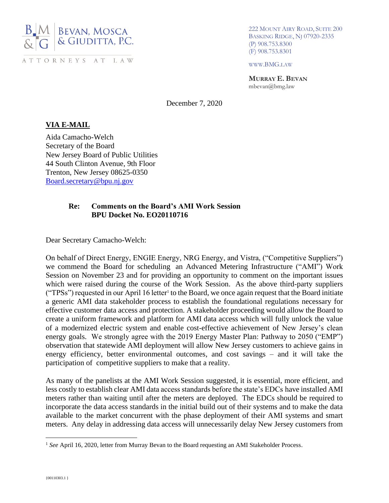

222 MOUNT AIRY ROAD, SUITE 200 BASKING RIDGE, NJ 07920-2335 (P) 908.753.8300 (F) 908.753.8301

WWW.BMG.LAW

**MURRAY E. BEVAN** mbevan@bmg.law

December 7, 2020

## **VIA E-MAIL**

Aida Camacho-Welch Secretary of the Board New Jersey Board of Public Utilities 44 South Clinton Avenue, 9th Floor Trenton, New Jersey 08625-0350 [Board.secretary@bpu.nj.gov](mailto:Board.secretary@bpu.nj.gov)

### **Re: Comments on the Board's AMI Work Session BPU Docket No. EO20110716**

Dear Secretary Camacho-Welch:

On behalf of Direct Energy, ENGIE Energy, NRG Energy, and Vistra, ("Competitive Suppliers") we commend the Board for scheduling an Advanced Metering Infrastructure ("AMI") Work Session on November 23 and for providing an opportunity to comment on the important issues which were raised during the course of the Work Session. As the above third-party suppliers ("TPSs") requested in our April 16 letter<sup>1</sup> to the Board, we once again request that the Board initiate a generic AMI data stakeholder process to establish the foundational regulations necessary for effective customer data access and protection. A stakeholder proceeding would allow the Board to create a uniform framework and platform for AMI data access which will fully unlock the value of a modernized electric system and enable cost-effective achievement of New Jersey's clean energy goals. We strongly agree with the 2019 Energy Master Plan: Pathway to 2050 ("EMP") observation that statewide AMI deployment will allow New Jersey customers to achieve gains in energy efficiency, better environmental outcomes, and cost savings – and it will take the participation of competitive suppliers to make that a reality.

As many of the panelists at the AMI Work Session suggested, it is essential, more efficient, and less costly to establish clear AMI data access standards before the state's EDCs have installed AMI meters rather than waiting until after the meters are deployed. The EDCs should be required to incorporate the data access standards in the initial build out of their systems and to make the data available to the market concurrent with the phase deployment of their AMI systems and smart meters. Any delay in addressing data access will unnecessarily delay New Jersey customers from

<sup>&</sup>lt;sup>1</sup> *See* April 16, 2020, letter from Murray Bevan to the Board requesting an AMI Stakeholder Process.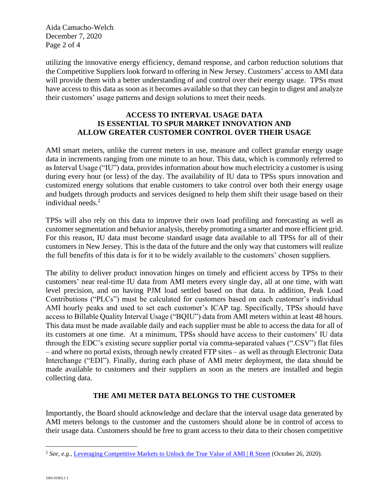Aida Camacho-Welch December 7, 2020 Page 2 of 4

utilizing the innovative energy efficiency, demand response, and carbon reduction solutions that the Competitive Suppliers look forward to offering in New Jersey. Customers' access to AMI data will provide them with a better understanding of and control over their energy usage. TPSs must have access to this data as soon as it becomes available so that they can begin to digest and analyze their customers' usage patterns and design solutions to meet their needs.

## **ACCESS TO INTERVAL USAGE DATA IS ESSENTIAL TO SPUR MARKET INNOVATION AND ALLOW GREATER CUSTOMER CONTROL OVER THEIR USAGE**

AMI smart meters, unlike the current meters in use, measure and collect granular energy usage data in increments ranging from one minute to an hour. This data, which is commonly referred to as Interval Usage ("IU") data, provides information about how much electricity a customer is using during every hour (or less) of the day. The availability of IU data to TPSs spurs innovation and customized energy solutions that enable customers to take control over both their energy usage and budgets through products and services designed to help them shift their usage based on their individual needs.<sup>2</sup>

TPSs will also rely on this data to improve their own load profiling and forecasting as well as customer segmentation and behavior analysis, thereby promoting a smarter and more efficient grid. For this reason, IU data must become standard usage data available to all TPSs for all of their customers in New Jersey. This is the data of the future and the only way that customers will realize the full benefits of this data is for it to be widely available to the customers' chosen suppliers.

The ability to deliver product innovation hinges on timely and efficient access by TPSs to their customers' near real-time IU data from AMI meters every single day, all at one time, with watt level precision, and on having PJM load settled based on that data. In addition, Peak Load Contributions ("PLCs") must be calculated for customers based on each customer's individual AMI hourly peaks and used to set each customer's ICAP tag. Specifically, TPSs should have access to Billable Quality Interval Usage ("BQIU") data from AMI meters within at least 48 hours. This data must be made available daily and each supplier must be able to access the data for all of its customers at one time. At a minimum, TPSs should have access to their customers' IU data through the EDC's existing secure supplier portal via comma-separated values (".CSV") flat files – and where no portal exists, through newly created FTP sites – as well as through Electronic Data Interchange ("EDI"). Finally, during each phase of AMI meter deployment, the data should be made available to customers and their suppliers as soon as the meters are installed and begin collecting data.

# **THE AMI METER DATA BELONGS TO THE CUSTOMER**

Importantly, the Board should acknowledge and declare that the interval usage data generated by AMI meters belongs to the customer and the customers should alone be in control of access to their usage data. Customers should be free to grant access to their data to their chosen competitive

<sup>&</sup>lt;sup>2</sup> See, e.g., [Leveraging Competitive Markets to Unlock the True Value of AMI | R Street](https://www.rstreet.org/2020/10/26/leveraging-competitive-markets-to-unlock-the-true-value-of-ami/) (October 26, 2020).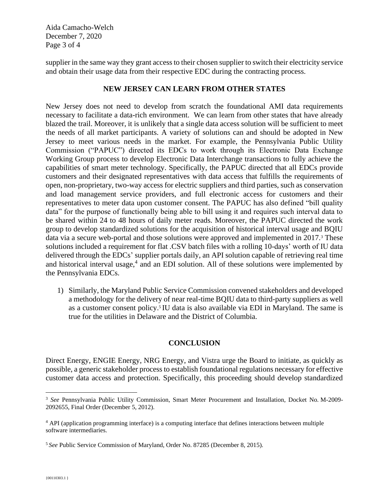Aida Camacho-Welch December 7, 2020 Page 3 of 4

supplier in the same way they grant access to their chosen supplier to switch their electricity service and obtain their usage data from their respective EDC during the contracting process.

### **NEW JERSEY CAN LEARN FROM OTHER STATES**

New Jersey does not need to develop from scratch the foundational AMI data requirements necessary to facilitate a data-rich environment. We can learn from other states that have already blazed the trail. Moreover, it is unlikely that a single data access solution will be sufficient to meet the needs of all market participants. A variety of solutions can and should be adopted in New Jersey to meet various needs in the market. For example, the Pennsylvania Public Utility Commission ("PAPUC") directed its EDCs to work through its Electronic Data Exchange Working Group process to develop Electronic Data Interchange transactions to fully achieve the capabilities of smart meter technology. Specifically, the PAPUC directed that all EDCs provide customers and their designated representatives with data access that fulfills the requirements of open, non-proprietary, two-way access for electric suppliers and third parties, such as conservation and load management service providers, and full electronic access for customers and their representatives to meter data upon customer consent. The PAPUC has also defined "bill quality data" for the purpose of functionally being able to bill using it and requires such interval data to be shared within 24 to 48 hours of daily meter reads. Moreover, the PAPUC directed the work group to develop standardized solutions for the acquisition of historical interval usage and BQIU data via a secure web-portal and those solutions were approved and implemented in 2017.<sup>3</sup> These solutions included a requirement for flat .CSV batch files with a rolling 10-days' worth of IU data delivered through the EDCs' supplier portals daily, an API solution capable of retrieving real time and historical interval usage,<sup>4</sup> and an EDI solution. All of these solutions were implemented by the Pennsylvania EDCs.

1) Similarly, the Maryland Public Service Commission convened stakeholders and developed a methodology for the delivery of near real-time BQIU data to third-party suppliers as well as a customer consent policy.<sup>5</sup> IU data is also available via EDI in Maryland. The same is true for the utilities in Delaware and the District of Columbia.

### **CONCLUSION**

Direct Energy, ENGIE Energy, NRG Energy, and Vistra urge the Board to initiate, as quickly as possible, a generic stakeholder process to establish foundational regulations necessary for effective customer data access and protection. Specifically, this proceeding should develop standardized

<sup>3</sup> *See* Pennsylvania Public Utility Commission, Smart Meter Procurement and Installation, Docket No. M-2009- 2092655, Final Order (December 5, 2012).

<sup>4</sup> API (application programming interface) is a computing interface that defines interactions between multiple software intermediaries.

<sup>5</sup> *See* Public Service Commission of Maryland, Order No. 87285 (December 8, 2015).